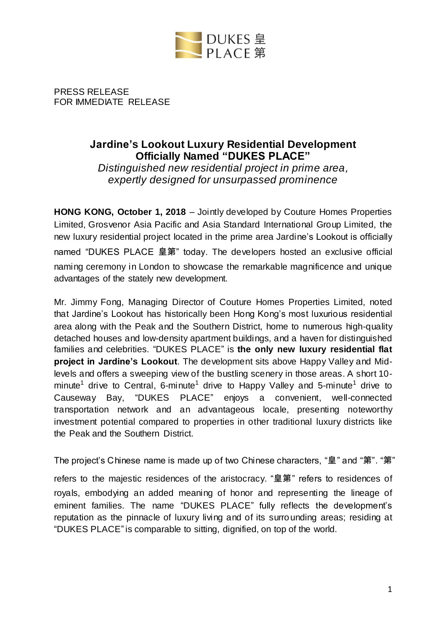

PRESS RELEASE FOR IMMEDIATE RELEASE

# **Jardine's Lookout Luxury Residential Development Officially Named "DUKES PLACE"**

*Distinguished new residential project in prime area, expertly designed for unsurpassed prominence*

**HONG KONG, October 1, 2018** – Jointly developed by Couture Homes Properties Limited, Grosvenor Asia Pacific and Asia Standard International Group Limited, the new luxury residential project located in the prime area Jardine's Lookout is officially named "DUKES PLACE 皇第" today. The developers hosted an exclusive official naming ceremony in London to showcase the remarkable magnificence and unique advantages of the stately new development.

Mr. Jimmy Fong, Managing Director of Couture Homes Properties Limited, noted that Jardine's Lookout has historically been Hong Kong's most luxurious residential area along with the Peak and the Southern District, home to numerous high-quality detached houses and low-density apartment buildings, and a haven for distinguished families and celebrities. "DUKES PLACE" is **the only new luxury residential flat project in Jardine's Lookout**. The development sits above Happy Valley and Midlevels and offers a sweeping view of the bustling scenery in those areas. A short 10 minute<sup>1</sup> drive to Central, 6-minute<sup>1</sup> drive to Happy Valley and 5-minute<sup>1</sup> drive to Causeway Bay, "DUKES PLACE" enjoys a convenient, well-connected transportation network and an advantageous locale, presenting noteworthy investment potential compared to properties in other traditional luxury districts like the Peak and the Southern District.

The project's Chinese name is made up of two Chinese characters, "皇" and "第". "第"

refers to the majestic residences of the aristocracy. "皇第" refers to residences of royals, embodying an added meaning of honor and representing the lineage of eminent families. The name "DUKES PLACE" fully reflects the development's reputation as the pinnacle of luxury living and of its surrounding areas; residing at "DUKES PLACE" is comparable to sitting, dignified, on top of the world.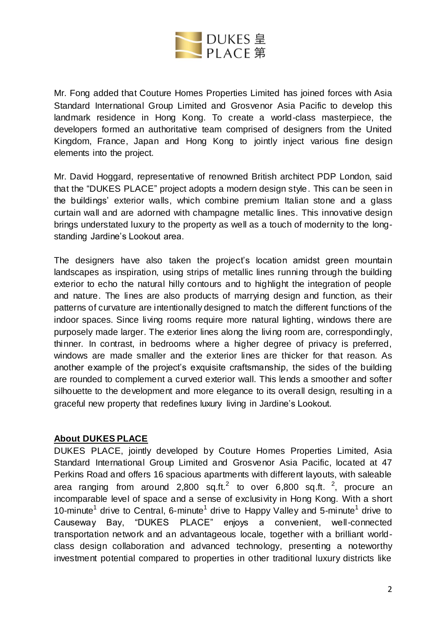

Mr. Fong added that Couture Homes Properties Limited has joined forces with Asia Standard International Group Limited and Grosvenor Asia Pacific to develop this landmark residence in Hong Kong. To create a world-class masterpiece, the developers formed an authoritative team comprised of designers from the United Kingdom, France, Japan and Hong Kong to jointly inject various fine design elements into the project.

Mr. David Hoggard, representative of renowned British architect PDP London, said that the "DUKES PLACE" project adopts a modern design style. This can be seen in the buildings' exterior walls, which combine premium Italian stone and a glass curtain wall and are adorned with champagne metallic lines. This innovative design brings understated luxury to the property as well as a touch of modernity to the longstanding Jardine's Lookout area.

The designers have also taken the project's location amidst green mountain landscapes as inspiration, using strips of metallic lines running through the building exterior to echo the natural hilly contours and to highlight the integration of people and nature. The lines are also products of marrying design and function, as their patterns of curvature are intentionally designed to match the different functions of the indoor spaces. Since living rooms require more natural lighting, windows there are purposely made larger. The exterior lines along the living room are, correspondingly, thinner. In contrast, in bedrooms where a higher degree of privacy is preferred, windows are made smaller and the exterior lines are thicker for that reason. As another example of the project's exquisite craftsmanship, the sides of the building are rounded to complement a curved exterior wall. This lends a smoother and softer silhouette to the development and more elegance to its overall design, resulting in a graceful new property that redefines luxury living in Jardine's Lookout.

### **About DUKES PLACE**

DUKES PLACE, jointly developed by Couture Homes Properties Limited, Asia Standard International Group Limited and Grosvenor Asia Pacific, located at 47 Perkins Road and offers 16 spacious apartments with different layouts, with saleable area ranging from around 2,800 sq.ft.<sup>2</sup> to over 6,800 sq.ft. <sup>2</sup>, procure an incomparable level of space and a sense of exclusivity in Hong Kong. With a short 10-minute<sup>1</sup> drive to Central, 6-minute<sup>1</sup> drive to Happy Valley and 5-minute<sup>1</sup> drive to Causeway Bay, "DUKES PLACE" enjoys a convenient, well-connected transportation network and an advantageous locale, together with a brilliant worldclass design collaboration and advanced technology, presenting a noteworthy investment potential compared to properties in other traditional luxury districts like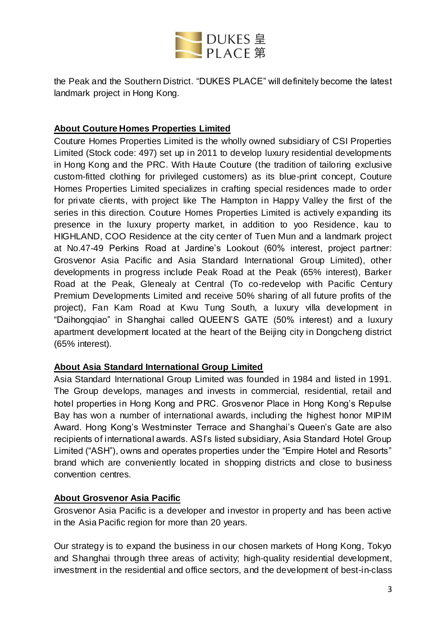

the Peak and the Southern District. "DUKES PLACE" will definitely become the latest landmark project in Hong Kong.

## **About Couture Homes Properties Limited**

Couture Homes Properties Limited is the wholly owned subsidiary of CSI Properties Limited (Stock code: 497) set up in 2011 to develop luxury residential developments in Hong Kong and the PRC. With Haute Couture (the tradition of tailoring exclusive custom-fitted clothing for privileged customers) as its blue-print concept, Couture Homes Properties Limited specializes in crafting special residences made to order for private clients, with project like The Hampton in Happy Valley the first of the series in this direction. Couture Homes Properties Limited is actively expanding its presence in the luxury property market, in addition to yoo Residence, kau to HIGHLAND, COO Residence at the city center of Tuen Mun and a landmark project at No.47-49 Perkins Road at Jardine's Lookout (60% interest, project partner: Grosvenor Asia Pacific and Asia Standard International Group Limited), other developments in progress include Peak Road at the Peak (65% interest), Barker Road at the Peak, Glenealy at Central (To co-redevelop with Pacific Century Premium Developments Limited and receive 50% sharing of all future profits of the project), Fan Kam Road at Kwu Tung South, a luxury villa development in "Daihongqiao" in Shanghai called QUEEN'S GATE (50% interest) and a luxury apartment development located at the heart of the Beijing city in Dongcheng district (65% interest).

### **About Asia Standard International Group Limited**

Asia Standard International Group Limited was founded in 1984 and listed in 1991. The Group develops, manages and invests in commercial, residential, retail and hotel properties in Hong Kong and PRC. Grosvenor Place in Hong Kong's Repulse Bay has won a number of international awards, including the highest honor MIPIM Award. Hong Kong's Westminster Terrace and Shanghai's Queen's Gate are also recipients of international awards. ASI's listed subsidiary, Asia Standard Hotel Group Limited ("ASH"), owns and operates properties under the "Empire Hotel and Resorts" brand which are conveniently located in shopping districts and close to business convention centres.

### **About Grosvenor Asia Pacific**

Grosvenor Asia Pacific is a developer and investor in property and has been active in the Asia Pacific region for more than 20 years.

Our strategy is to expand the business in our chosen markets of Hong Kong, Tokyo and Shanghai through three areas of activity; high-quality residential development, investment in the residential and office sectors, and the development of best-in-class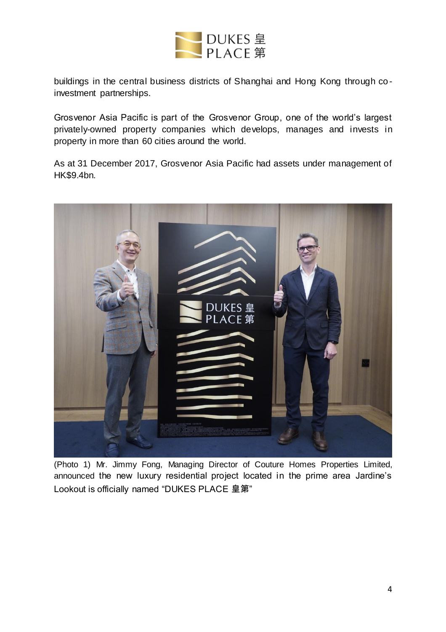

buildings in the central business districts of Shanghai and Hong Kong through co investment partnerships.

Grosvenor Asia Pacific is part of the Grosvenor Group, one of the world's largest privately-owned property companies which develops, manages and invests in property in more than 60 cities around the world.

As at 31 December 2017, Grosvenor Asia Pacific had assets under management of HK\$9.4bn.



(Photo 1) Mr. Jimmy Fong, Managing Director of Couture Homes Properties Limited, announced the new luxury residential project located in the prime area Jardine's Lookout is officially named "DUKES PLACE 皇第"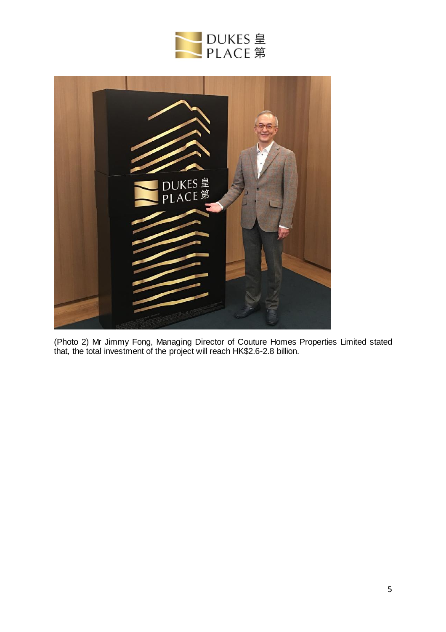



(Photo 2) Mr Jimmy Fong, Managing Director of Couture Homes Properties Limited stated that, the total investment of the project will reach HK\$2.6-2.8 billion.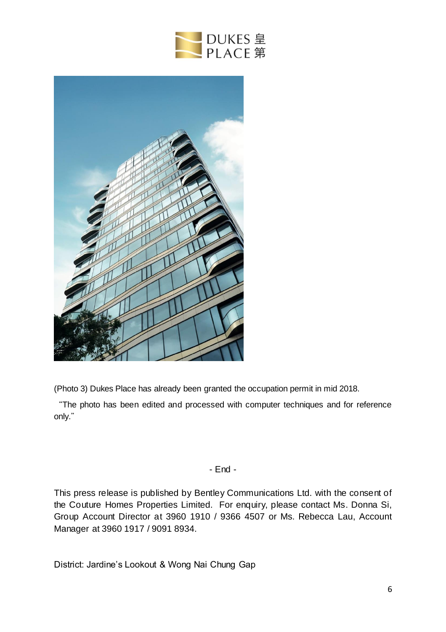



(Photo 3) Dukes Place has already been granted the occupation permit in mid 2018.

"The photo has been edited and processed with computer techniques and for reference only."

### - End -

This press release is published by Bentley Communications Ltd. with the consent of the Couture Homes Properties Limited. For enquiry, please contact Ms. Donna Si, Group Account Director at 3960 1910 / 9366 4507 or Ms. Rebecca Lau, Account Manager at 3960 1917 / 9091 8934.

District: Jardine's Lookout & Wong Nai Chung Gap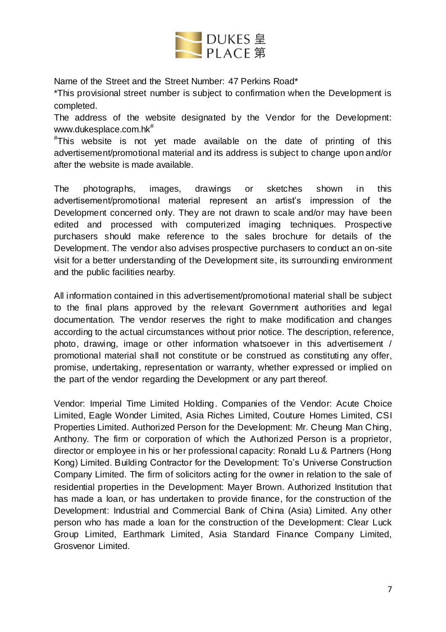

Name of the Street and the Street Number: 47 Perkins Road\*

\*This provisional street number is subject to confirmation when the Development is completed.

The address of the website designated by the Vendor for the Development: [www.dukesplace.com.hk](http://www.dukesplace.com.hk/)<sup>#</sup>

#This website is not yet made available on the date of printing of this advertisement/promotional material and its address is subject to change upon and/or after the website is made available.

The photographs, images, drawings or sketches shown in this advertisement/promotional material represent an artist's impression of the Development concerned only. They are not drawn to scale and/or may have been edited and processed with computerized imaging techniques. Prospective purchasers should make reference to the sales brochure for details of the Development. The vendor also advises prospective purchasers to conduct an on-site visit for a better understanding of the Development site, its surrounding environment and the public facilities nearby.

All information contained in this advertisement/promotional material shall be subject to the final plans approved by the relevant Government authorities and legal documentation. The vendor reserves the right to make modification and changes according to the actual circumstances without prior notice. The description, reference, photo, drawing, image or other information whatsoever in this advertisement / promotional material shall not constitute or be construed as constituting any offer, promise, undertaking, representation or warranty, whether expressed or implied on the part of the vendor regarding the Development or any part thereof.

Vendor: Imperial Time Limited Holding. Companies of the Vendor: Acute Choice Limited, Eagle Wonder Limited, Asia Riches Limited, Couture Homes Limited, CSI Properties Limited. Authorized Person for the Development: Mr. Cheung Man Ching, Anthony. The firm or corporation of which the Authorized Person is a proprietor, director or employee in his or her professional capacity: Ronald Lu & Partners (Hong Kong) Limited. Building Contractor for the Development: To's Universe Construction Company Limited. The firm of solicitors acting for the owner in relation to the sale of residential properties in the Development: Mayer Brown. Authorized Institution that has made a loan, or has undertaken to provide finance, for the construction of the Development: Industrial and Commercial Bank of China (Asia) Limited. Any other person who has made a loan for the construction of the Development: Clear Luck Group Limited, Earthmark Limited, Asia Standard Finance Company Limited, Grosvenor Limited.